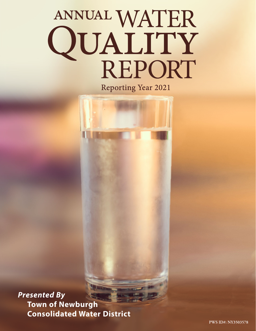# ANNUAL WATER<br>QUALITY<br>REPORT

**Reporting Year 2021** 

*Presented By* **Town of Newburgh Consolidated Water District**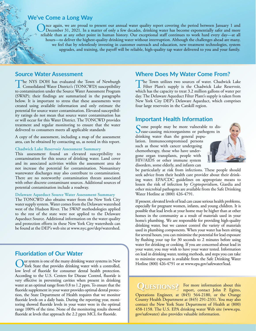## **We've Come a Long Way**

nce again, we are proud to present our annual water quality report covering the period between January 1 and December 31, 2021. In a matter of only a few decades, drinking water has become exponentially safer and more reliable than at any other point in human history. Our exceptional staff continues to work hard every day—at all hours—to deliver the highest-quality drinking water without interruption. Although the challenges ahead are many, we feel that by relentlessly investing in customer outreach and education, new treatment technologies, system upgrades, and training, the payoff will be reliable, high-quality tap water delivered to you and your family.

## **Source Water Assessment**

The NYS DOH has evaluated the Town of Newburgh<br>
Consolidated Water District's (TONCWD) susceptibility<br>
the contravistion under the Source Water Accessory Program to contamination under the Source Water Assessment Program (SWAP); their findings are summarized in the paragraphs below. It is important to stress that these assessments were created using available information and only estimate the potential for source water contamination. Elevated susceptibility ratings do not mean that source water contamination has or will occur for this Water District. The TONCWD provides treatment and regular monitoring to ensure that the water delivered to consumers meets all applicable standards

A copy of the assessment, including a map of the assessment area, can be obtained by contacting us, as noted in this report.

#### **Chadwick Lake Reservoir Assessment Summary**

This assessment found an elevated susceptibility to contamination for this source of drinking water. Land cover and its associated activities within the assessment area do not increase the potential for contamination. Nonsanitary wastewater discharges may also contribute to contamination. There are no noteworthy contamination threats associated with other discrete contaminant sources. Additional sources of potential contamination include a roadway.

#### **Delaware Aqueduct Source Water Assessment Summary**

The TONCWD also obtains water from the New York City water supply system. Water comes from the Delaware watershed west of the Hudson River. The SWAP methodologies applied to the rest of the state were not applied to the Delaware Aqueduct Source. Additional information on the water quality and protection efforts in these New York City watersheds can be found at the DEP's web site at [www.nyc.gov/dep/watershed](http://www.nyc.gov/dep/watershed).

## **Fluoridation of Our Water**

Our system is one of the many drinking water systems in New York State that provides drinking water with a controlled, low level of fluoride for consumer dental health protection. According to the U.S. Centers for Disease Control, fluoride is very effective in preventing cavities when present in drinking water at an optimal range from 0.8 to 1.2 ppm. To ensure that the fluoride supplement in your water provides optimal dental protection, the State Department of Health requires that we monitor fluoride levels on a daily basis. During the reporting year, monitoring showed fluoride levels in your water were in the optimal range 100% of the time. None of the monitoring results showed fluoride at levels that approach the 2.2 ppm MCL for fluoride.

## **Where Does My Water Come From?**

The Town utilizes two sources of water. Chadwick Lake<br>Filter Plant's supply is the Chadwick Lake Reservoir,<br>which has be considered and 2.2 million sellong of water are which has the capacity to treat 3.2 million gallons of water per day. The Delaware Aqueduct Filter Plant's supply is taken from New York City DEP's Delaware Aqueduct, which comprises four large reservoirs in the Catskill region.

#### **Important Health Information**

Some people may be more vulnerable to dis-<br>ease-causing microorganisms or pathogens in drinking water than the general population. Immunocompromised persons such as those with cancer undergoing chemotherapy, those who have undergone organ transplants, people with HIV/AIDS or other immune system disorders, some elderly, and infants can



be particularly at risk from infections. These people should seek advice from their health care provider about their drinking water. EPA/CDC guidelines on appropriate means to lessen the risk of infection by *Cryptosporidium*, Giardia and other microbial pathogens are available from the Safe Drinking Water Hotline at (800) 426-4791.

If present, elevated levels of lead can cause serious health problems, especially for pregnant women, infants, and young children. It is possible that lead levels at your home may be higher than at other homes in the community as a result of materials used in your home's plumbing. We are responsible for providing high-quality drinking water, but we cannot control the variety of materials used in plumbing components. When your water has been sitting for several hours, you can minimize the potential for lead exposure by flushing your tap for 30 seconds to 2 minutes before using water for drinking or cooking. If you are concerned about lead in your water, you may wish to have your water tested. Information on lead in drinking water, testing methods, and steps you can take to minimize exposure is available from the Safe Drinking Water Hotline (800) 426-4791 or at [www.epa.gov/safewater/lead](http://www.epa.gov/safewater/lead).

QUESTIONS? For more information about this report, contact John P. Egitto,

Operations Engineer, at (845) 564-2180, or the Orange County Health Department at (845) 291-2331. You may also contact the New York State Department of Health at (800) 458-1158. The U.S. EPA drinking water Web site [\(www.epa.](http://www.epa.gov/safewater) [gov/safewater\)](http://www.epa.gov/safewater) also provides valuable information.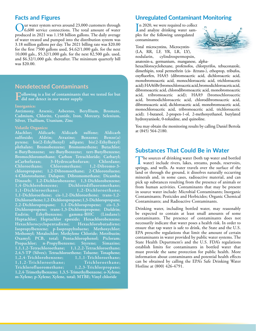## **Facts and Figures**

Our water system serves around 23,000 customers through 6,600 service connections. The total amount of water produced in 2021 was 1.158 billion gallons. The daily average of water treated and pumped into the distribution system was 3.18 million gallons per day. The 2021 billing rate was \$20.00 for the first 7500 gallons used, \$4.62/1,000 gals. for the next 10,000 gals., \$5.32/1,000 gals. for the next 82,500 gals. used, and \$6.32/1,000 gals. thereafter. The minimum quarterly bill was \$20.00.

# **Nondetected Contaminants**

**Following is a list of contaminants that we tested for but did not detect in our water supply.**

#### **Inorganics:**

**Antimony, Arsenic, Asbestos, Beryllium, Bromate, Cadmium, Chlorite, Cyanide, Iron, Mercury, Selenium, Silver, Thallium, Uranium, Zinc**

#### **Volatile Organics:**

**Alachlor; Aldicarb; Aldicarb sulfone; Aldicarb sulfoxide; Aldrin; Atrazine; Benzene; Benzo(a) pyrene; bis(2-Ethylhexyl) adipate; bis(2-Ethylhexyl) phthalate; Bromobenzene; Bromomethene; Butachlor; n-Butylbenzene; sec-Butylbenzene; tert-Butylbenzene; Bromochloromethane; Carbon Tetrachloride; Carbaryl; nCarbofuran; 3-Hydrocarbofuran; Chlordane; Chloroethane; Chloromethane; 1,2-Dibromo-3 chloropropane; 1,2-Dibromoethane; 2-Chlorotoluene; 4-Chlorotoluene; Dalapon; Dibromomethane; Dicamba; Dinoseb; 1,2-Dichlorobenzene; 1,3-Dichlorobenzene; 1,4-Dichlorobenzene; Dichlorodifluoromethane; 1,1-Dichloroethane; 1,2-Dichloroethane; 1,1-Dichloroethene; cis-1,2-Dichloroethene; trans-1,2- Dichloroethene; 1,2-Dichloropropane; 1,3-Dichloropropane; 2,2-Dichloropropane; 1,1-Dichloropropene; cis-1,3- Dichloropropene; trans-1,3-Dichloropropene; Dieldrin; Endrin; Ethylbenzene; gamma-BHC (Lindane); Heptachlor; Heptachlor epoxide; Hexachlorobenzene; Hexachlorocyclopentadiene; Hexachlorobutadiene; Isopropylbenzene; p-Isopropyltoluene; Methoxychlor; Methomyl; Metalochlor; Methylene Chloride; Metribuzin; Oxamyl; PCB, total; Pentachlorophenol; Picloram; Propachlor; n-Propylbenzene; Styrene; Simazine; 1,1,1,2-Tetrachloroethane; 1,1,2,2-Tetrachloroethane; 2,4,5-TP (Silvex); Tetrachloroethene; Toluene; Toxaphene; 1,2,4-Trichlorobenzene; 1,1,1-Trichloroethane; 1,1,2-Trichloroethane; Trichloroethane;**   $Trichlorofluorome thane;$ **1,2,4-Trimethylbenzene; 1,3,5-Trimethylbenzene; o-Xylene; m-Xylene; p-Xylene; Xylene, total; MTBE; Vinyl chloride**

# **Unregulated Contaminant Monitoring**

In 2020, we were required to collect<br>and analyze drinking water sam-In 2020, we were required to collect ples for the following unregulated contaminants:

Total microcystins, Microcystin- (LA, RR, LF, YR, LR, LY), nodularin, cylindrospermopsin, anatoxin-a, germanium, manganese, alpha-

hexachlorocyclohexane, profenofos, chlorpyrifos, tebuconazole, dimethipin, total permethrin (cis- &trans-), ethoprop, tribufos, oxyfluorfen, HAA5 (dibromoacetic acid, dichloroacetic acid, monobromoacetic acid, monochloroacetic acid, trichloroacetic acid); HAA6Br (bromochloroacetic acid, bromodichloroacetic acid, dibromoacetic acid, chlorodibromoacetic acid, monobromoacetic acid, tribromoacetic acid); HAA9 (bromochloroacetic acid, bromodichloroacetic acid, chlorodibromoacetic acid, dibromoacetic acid, dichloroacetic acid, monobromoacetic acid, monochloroacetic acid, tribromoacetic acid, trichloroacetic acid); 1-butanol, 2-propen-1-ol, 2-methoxyethanol, butylated hydroxyanisole, 0-toluidine, and quinoline.

You may obtain the monitoring results by calling Daniel Bertola at (845) 564-2180.

## **Substances That Could Be in Water**

The sources of drinking water (both tap water and bottled water) include rivers, lakes, streams, ponds, reservoirs, springs, and wells. As water travels over the surface of the land or through the ground, it dissolves naturally occurring minerals and, in some cases, radioactive material, and can pick up substances resulting from the presence of animals or from human activities. Contaminants that may be present in source water include: Microbial Contaminants; Inorganic Contaminants; Pesticides and Herbicides; Organic Chemical Contaminants; and Radioactive Contaminants.

Drinking water, including bottled water, may reasonably be expected to contain at least small amounts of some contaminants. The presence of contaminants does not necessarily indicate that water poses a health risk. In order to ensure that tap water is safe to drink, the State and the U.S. EPA prescribe regulations that limit the amount of certain contaminants in water provided by public water systems. The State Health Department's and the U.S. FDA's regulations establish limits for contaminants in bottled water that must provide the same protection for public health. More information about contaminants and potential health effects can be obtained by calling the EPA's Safe Drinking Water Hotline at (800) 426-4791.

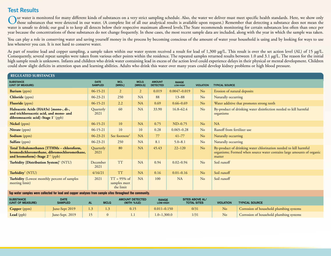# **Test Results**

Our water is monitored for many different kinds of substances on a very strict sampling schedule. Also, the water we deliver must meet specific health standards. Here, we show only<br>those substances that were detected in ou water is unsafe to drink; our goal is to keep all detects below their respective maximum allowed levels.The State recommends monitoring for certain substances less often than once per year because the concentrations of these substances do not change frequently. In these cases, the most recent sample data are included, along with the year in which the sample was taken.

You can play a role in conserving water and saving yourself money in the process by becoming conscious of the amount of water your household is using and by looking for ways to use less whenever you can. It is not hard to conserve water.

As part of routine lead and copper sampling, a sample taken within our water system received a result for lead of 1,300 µg/L. This result is over the set action level (AL) of 15 µg/L. Consequently, several repeat samples were taken from various other points within the residence. The repeated samples returned results between 1.0 and 3.1 µg/L. The reason for the initial high sample result is unknown. Infants and children who drink water containing lead in excess of the action level could experience delays in their physical or mental development. Children could show slight deficits in attention span and learning abilities. Adults who drink this water over many years could develop kidney problems or high blood pressure.

| <b>REGULATED SUBSTANCES</b>                                                                                                        |                               |                                             |                        |                                  |                          |                  |                                                                                                                                                     |  |
|------------------------------------------------------------------------------------------------------------------------------------|-------------------------------|---------------------------------------------|------------------------|----------------------------------|--------------------------|------------------|-----------------------------------------------------------------------------------------------------------------------------------------------------|--|
| <b>SUBSTANCE</b><br>(UNIT OF MEASURE)                                                                                              | <b>DATE</b><br><b>SAMPLED</b> | <b>MCL</b><br>[MRDL]                        | <b>MCLG</b><br>[MRDLG] | <b>AMOUNT</b><br><b>DETECTED</b> | <b>RANGE</b><br>LOW-HIGH | <b>VIOLATION</b> | <b>TYPICAL SOURCE</b>                                                                                                                               |  |
| <b>Barium</b> (ppm)                                                                                                                | $06-15-21$                    | $\overline{2}$                              | $\overline{2}$         | 0.019                            | $0.0047 - 0.019$         | N <sub>o</sub>   | Erosion of natural deposits                                                                                                                         |  |
| Chloride (ppm)                                                                                                                     | $06 - 23 - 21$                | 250                                         | <b>NA</b>              | 88                               | $13 - 88$                | N <sub>o</sub>   | Naturally occurring                                                                                                                                 |  |
| Fluoride (ppm)                                                                                                                     | $06-15-21$                    | 2.2                                         | <b>NA</b>              | 0.69                             | $0.66 - 0.69$            | N <sub>o</sub>   | Water additive that promotes strong teeth                                                                                                           |  |
| Haloacetic Acids (HAA5s) [mono-, di-,<br>and trichloroacetic acid, and mono- and<br>dibromoacetic acid]-Stage 1 <sup>1</sup> (ppb) | Quarterly<br>2021             | 60                                          | <b>NA</b>              | 33.90                            | $16.8 - 62.4$            | N <sub>o</sub>   | By-product of drinking water disinfection needed to kill harmful<br>organisms                                                                       |  |
| Nickel (ppm)                                                                                                                       | $06-15-21$                    | 10                                          | <b>NA</b>              | 0.75                             | $ND-0.75$                | N <sub>o</sub>   | <b>NA</b>                                                                                                                                           |  |
| Nitrate (ppm)                                                                                                                      | $06-15-21$                    | 10                                          | 10                     | 0.28                             | $0.065 - 0.28$           | N <sub>o</sub>   | Runoff from fertilizer use                                                                                                                          |  |
| Sodium (ppm)                                                                                                                       | $06 - 23 - 21$                | See footnote <sup>2</sup>                   | <b>NA</b>              | 77                               | $41 - 77$                | N <sub>o</sub>   | Naturally occurring                                                                                                                                 |  |
| Sulfate (ppm)                                                                                                                      | $06 - 23 - 21$                | 250                                         | <b>NA</b>              | 8.1                              | $5.0 - 8.1$              | N <sub>o</sub>   | Naturally occurring                                                                                                                                 |  |
| Total Trihalomethanes [TTHMs - chloroform,<br>bromodichloromethane, dibromochloromethane,<br>and bromoform]-Stage $2^{1,3}$ (ppb)  | Quarterly<br>2021             | 80                                          | <b>NA</b>              | 45.43                            | $22 - 120$               | N <sub>o</sub>   | By-product of drinking water chlorination needed to kill harmful<br>organisms; Formed when source water contains large amounts of organic<br>matter |  |
| Turbidity [Distribution System] <sup>4</sup> (NTU)                                                                                 | December<br>2021              | <b>TT</b>                                   | <b>NA</b>              | 0.94                             | $0.02 - 0.94$            | N <sub>o</sub>   | Soil runoff                                                                                                                                         |  |
| Turbidity <sup>5</sup> (NTU)                                                                                                       | 4/16/21                       | <b>TT</b>                                   | <b>NA</b>              | 0.16                             | $0.01 - 0.16$            | No               | Soil runoff                                                                                                                                         |  |
| <b>Turbidity</b> (Lowest monthly percent of samples<br>meeting limit)                                                              | 2021                          | $TT = 95\%$ of<br>samples meet<br>the limit | <b>NA</b>              | 100                              | <b>NA</b>                | N <sub>o</sub>   | Soil runoff                                                                                                                                         |  |

#### **Tap water samples were collected for lead and copper analyses from sample sites throughout the community.**

| <b>SUBSTANCE</b><br>(UNIT OF MEASURE) | <b>DATE</b><br><b>SAMPLED</b> | AL | <b>MCLG</b> | <b>AMOUNT DETECTED</b><br>(90TH %ILE) | <b>RANGE</b><br><b>LOW-HIGH</b> | SITES ABOVE AL/<br><b>TOTAL SITES</b> | <b>VIOLATION</b> | <b>TYPICAL SOURCE</b>                   |
|---------------------------------------|-------------------------------|----|-------------|---------------------------------------|---------------------------------|---------------------------------------|------------------|-----------------------------------------|
| <b>Copper</b> (ppm)                   | Iune-Sept 2019                |    |             | 0.15                                  | $0.011 - 0.150$                 | 0/31                                  | No               | Corrosion of household plumbing systems |
| Lead (ppb)                            | $[$ une-Sept. 2019            |    |             |                                       | $1.0 - 1,300.0$                 | 1/31                                  | N <sub>o</sub>   | Corrosion of household plumbing systems |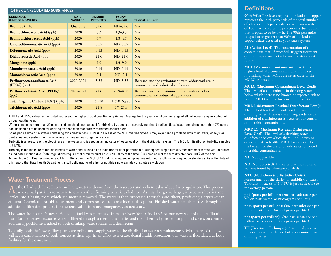| <b>OTHER UNREGULATED SUBSTANCES</b>                 |                               |                                  |                                 |                                                                                                |  |  |  |  |
|-----------------------------------------------------|-------------------------------|----------------------------------|---------------------------------|------------------------------------------------------------------------------------------------|--|--|--|--|
| <b>SUBSTANCE</b><br>(UNIT OF MEASURE)               | <b>DATE</b><br><b>SAMPLED</b> | <b>AMOUNT</b><br><b>DETECTED</b> | <b>RANGE</b><br><b>LOW-HIGH</b> | <b>TYPICAL SOURCE</b>                                                                          |  |  |  |  |
| <b>Bromide</b> (ppb)                                | Quarterly                     | 32.6                             | $ND-32.6$                       | NA                                                                                             |  |  |  |  |
| <b>Bromochloroacetic Acid</b> (ppb)                 | 2020                          | 3.3                              | $1.3 - 3.3$                     | NA                                                                                             |  |  |  |  |
| <b>Bromodichloroacetic Acid</b> (ppb)               | 2020                          | 4.7                              | $1.3 - 4.7$                     | NA                                                                                             |  |  |  |  |
| Chlorodibromoacetic Acid (ppb)                      | 2020                          | 0.57                             | $ND-0.57$                       | NA                                                                                             |  |  |  |  |
| <b>Dibromoacetic Acid</b> (ppb)                     | 2020                          | 0.53                             | $ND-0.53$                       | NA                                                                                             |  |  |  |  |
| <b>Dichloroacetic Acid</b> (ppb)                    | 2020                          | 21.6                             | $ND-21.6$                       | NA                                                                                             |  |  |  |  |
| <b>Manganese</b> (ppb)                              | 2020                          | 9.0                              | $1.3 - 9.0$                     | NA                                                                                             |  |  |  |  |
| Monobromoacetic Acid (ppb)                          | 2020                          | 0.44                             | $ND-0.44$                       | NA                                                                                             |  |  |  |  |
| Monochloroacetic Acid (ppb)                         | 2020                          | 2.4                              | $ND-2.4$                        | NA                                                                                             |  |  |  |  |
| Perfluorooctanesulfonate Acid<br>$(PFOS)$ (ppt)     | 2020-2021                     | 3.53                             | $ND-3.53$                       | Released into the environment from widespread use in<br>commercial and industrial applications |  |  |  |  |
| Perfluorooctanoic Acid (PFOA) <sup>6</sup><br>(ppt) | 2020-2021                     | 4.06                             | $2.19 - 4.06$                   | Released into the environment from widespread use in<br>commercial and industrial applications |  |  |  |  |
| <b>Total Organic Carbon [TOC]</b> (ppb)             | 2020                          | 6,990                            | 1,370-6,990                     | NA                                                                                             |  |  |  |  |
| <b>Trichloroacetic Acid</b> (ppb)                   | 2020                          | 21.8                             | $5.7 - 21.8$                    | NA                                                                                             |  |  |  |  |

<sup>1</sup>TTHM and HAA5 values as indicated represent the highest Locational Running Annual Average for the year and show the range of all individual samples collected throughout the year.

<sup>2</sup>Water containing more than 20 ppm of sodium should not be used for drinking by people on severely restricted sodium diets. Water containing more than 270 ppm of sodium should not be used for drinking by people on moderately restricted sodium diets.

<sup>3</sup> Some people who drink water containing trihalomethanes (TTHMs) in excess of the MCL over many years may experience problems with their livers, kidneys, or central nervous systems, and may have an increased risk of getting cancer.

4 Turbidity is a measure of the cloudiness of the water and is used as an indicator of water quality in the distribution system. The MCL for distribution turbidity samples is 5 NTU.

<sup>5</sup>Turbidity is the measure of the cloudiness of water and is used as an indicator for filter performance. Our highest single turbidity measurement for the year occurred as indicated in the table. State regulations require that turbidity must be <0.3NTU 95% of the time. Our samples met the turbidity standard 100% of the time. 6 Although our 3rd Quarter sample result for PFOA is over the MCL of 10 ng/L, subsequent sampling has returned results within regulation standards. As of the date of this report, the State Health Department is still deliberating whether or not this single sample constitutes a violation.

## **Water Treatment Process**

A t the Chadwick Lake Filtration Plant, water is drawn from the reservoir and a chemical is added for coagulation. This process<br>Causes small particles to adhere to one another, forming what is called floc. As this floc gro settles into a basin, from which sediment is removed. The water is then processed through sand filters, producing a crystal-clear effluent. Chemicals for pH adjustment and corrosion control are added at this point. Finished water can then pass through an additional filtration process for the removal of iron and manganese, as necessary.

The water from our Delaware Aqueduct facility is purchased from the New York City DEP. At our new state-of-the-art filtration plant for the Delaware source, water is filtered through a membrane barrier and then chemically treated for pH and corrosion control. Sodium hypochlorite is added to both drinking water sources as a disinfectant.

Typically, both the Town's filter plants are online and supply water to the distribution system simultaneously. Most parts of the town will see a combination of both sources at their tap. In an effort to increase dental health protection, our water is fluoridated at both facilities for the consumer.

# **Definitions**

**90th %ile:** The levels reported for lead and copper represent the 90th percentile of the total number of sites tested. A percentile is a value on a scale of 100 that indicates the percent of a distribution that is equal to or below it. The 90th percentile is equal to or greater than 90% of the lead and copper values detected at your water system.

**AL (Action Level):** The concentration of a contaminant that, if exceeded, triggers treatment or other requirements that a water system must follow.

**MCL (Maximum Contaminant Level):** The highest level of a contaminant that is allowed in drinking water. MCLs are set as close to the MCLG as possible.

#### **MCLG (Maximum Contaminant Level Goal):**

The level of a contaminant in drinking water below which there is no known or expected risk to health. MCLGs allow for a margin of safety.

#### **MRDL (Maximum Residual Disinfectant Level):**

The highest level of a disinfectant allowed in drinking water. There is convincing evidence that addition of a disinfectant is necessary for control of microbial contaminants.

**MRDLG (Maximum Residual Disinfectant** 

**Level Goal):** The level of a drinking water disinfectant below which there is no known or expected risk to health. MRDLGs do not reflect the benefits of the use of disinfectants to control microbial contaminants.

**NA:** Not applicable

**ND (Not detected):** Indicates that the substance was not found by laboratory analysis.

#### **NTU (Nephelometric Turbidity Units):**

Measurement of the clarity, or turbidity, of water. Turbidity in excess of 5 NTU is just noticeable to the average person.

**ppb (parts per billion):** One part substance per billion parts water (or micrograms per liter).

**ppm (parts per million):** One part substance per million parts water (or milligrams per liter).

**ppt (parts per trillion):** One part substance per trillion parts water (or nanograms per liter).

**TT (Treatment Technique):** A required process intended to reduce the level of a contaminant in drinking water.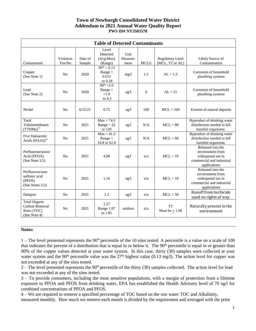### **Town of Newburgh Consolidated Water District Addendum to 2021 Annual Water Quality Report PWS ID# NY3503578**

| <b>Table of Detected Contaminants</b>                                 |                     |                   |                                                   |                          |             |                                            |                                                                                                         |  |  |
|-----------------------------------------------------------------------|---------------------|-------------------|---------------------------------------------------|--------------------------|-------------|--------------------------------------------|---------------------------------------------------------------------------------------------------------|--|--|
| Contaminant                                                           | Violation<br>Yes/No | Date of<br>Sample | Level<br>Detected<br>(Avg/Max)<br>(Range)         | Unit<br>Measure-<br>ment | <b>MCLG</b> | <b>Regulatory Limit</b><br>(MCL, TT or AL) | Likely Source of<br>Contamination                                                                       |  |  |
| Copper<br>(See Note 1)                                                | No                  | 2020              | $90^{th} = 0.13$<br>$Range =$<br>0.015<br>to 0.34 | mg/1                     | 1.3         | $AL = 1.3$                                 | Corrosion of household<br>plumbing systems                                                              |  |  |
| Lead<br>(See Note 2)                                                  | N <sub>0</sub>      | 2020              | $90^{th} = 2.0$<br>$Range =$<br>< 1.0<br>to 4.5   | $\frac{u g}{l}$          | $\theta$    | $AL = 15$                                  | Corrosion of household<br>plumbing systems                                                              |  |  |
| Nickel                                                                | N <sub>0</sub>      | 6/15/21           | 0.75                                              | $\frac{u g}{l}$          | 100         | $MCL = 100$                                | Erosion of natural deposits                                                                             |  |  |
| Total<br>Trihalomethanes<br>$(TTHMs)$ **                              | N <sub>o</sub>      | 2021              | $Max = 74.5$<br>$Range = 22$<br>to 120            | $\frac{u g}{l}$          | N/A         | $MCL = 80$                                 | Byproduct of drinking water<br>disinfection needed to kill<br>harmful organisms.                        |  |  |
| <b>Five Haloacetic</b><br>Acids (HAA5)**                              | N <sub>0</sub>      | 2021              | $Max = 41.2$<br>$Range =$<br>16.8 to 62.4         | $\frac{u g}{l}$          | N/A         | $MCL = 60$                                 | Byproduct of drinking water<br>disinfection needed to kill<br>harmful organisms.                        |  |  |
| Perfluorooctanoic<br>Acid (PFOA)<br>(See Note $3,5$ )                 | N <sub>o</sub>      | 2021              | 4.06                                              | ng/l                     | n/a         | $MCL = 10$                                 | Released into the<br>environment from<br>widespread use in<br>commercial and industrial<br>applications |  |  |
| Perfluorooctane<br>sulfonic acid<br>(PFOS)<br>(See Notes 3,5)         | N <sub>0</sub>      | 2021              | 1.16                                              | ng/l                     | n/a         | $MCL = 10$                                 | Released into the<br>environment from<br>widespread use in<br>commercial and industrial<br>applications |  |  |
| Dalapon                                                               | N <sub>0</sub>      | 2021              | 1.2                                               | $\frac{u g}{l}$          | n/a         | $MCL = 50$                                 | Runoff from herbicide<br>used on rights of way.                                                         |  |  |
| <b>Total Organic</b><br>Carbon Removal<br>Ratio (TOC)<br>(See Note 4) | N <sub>0</sub>      | 2021              | 1.27<br>Range 1.07<br>to 1.81                     | unitless                 | n/a         | <b>TT</b><br>Must be $\geq 1.00$           | Naturally present in the<br>environment                                                                 |  |  |

#### **Notes:**

 $1$  – The level presented represents the 90<sup>th</sup> percentile of the 10 sites tested. A percentile is a value on a scale of 100 that indicates the percent of a distribution that is equal to or below it. The  $90<sup>th</sup>$  percentile is equal to or greater than 90% of the copper values detected at your water system. In this case, thirty (30) samples were collected at your water system and the 90<sup>th</sup> percentile value was the  $27<sup>th</sup>$  highest value (0.13 mg/l). The action level for copper was not exceeded at any of the sites tested.

 $2 -$  The level presented represents the 90<sup>th</sup> percentile of the thirty (30) samples collected. The action level for lead was not exceeded at any of the sites tested.

3 – To provide consumers, including the most sensitive populations, with a margin of protection from a lifetime exposure to PFOA and PFOS from drinking water, EPA has established the Health Advisory level of 70 ng/l for combined concentrations of PFOA and PFOS.

4 – We are required to remove a specified percentage of TOC based on the raw water TOC and Alkalinity, measured monthly. How much we remove each month is divided by the requirement and averaged with the prior